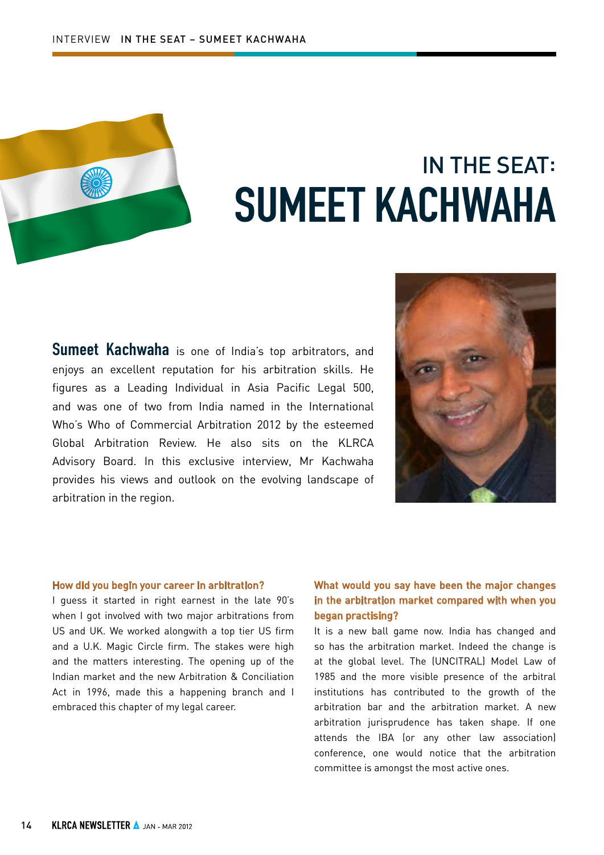

# IN THE SEAT: SUMEET KACHWAHA

Sumeet Kachwaha is one of India's top arbitrators, and enjoys an excellent reputation for his arbitration skills. He figures as a Leading Individual in Asia Pacific Legal 500, and was one of two from India named in the International Who's Who of Commercial Arbitration 2012 by the esteemed Global Arbitration Review. He also sits on the KLRCA Advisory Board. In this exclusive interview, Mr Kachwaha provides his views and outlook on the evolving landscape of arbitration in the region.



#### How did you begin your career in arbitration?

I guess it started in right earnest in the late 90's when I got involved with two major arbitrations from US and UK. We worked alongwith a top tier US firm and a U.K. Magic Circle firm. The stakes were high and the matters interesting. The opening up of the Indian market and the new Arbitration & Conciliation Act in 1996, made this a happening branch and I embraced this chapter of my legal career.

## What would you say have been the major changes in the arbitration market compared with when you began practising?

It is a new ball game now. India has changed and so has the arbitration market. Indeed the change is at the global level. The (UNCITRAL) Model Law of 1985 and the more visible presence of the arbitral institutions has contributed to the growth of the arbitration bar and the arbitration market. A new arbitration jurisprudence has taken shape. If one attends the IBA (or any other law association) conference, one would notice that the arbitration committee is amongst the most active ones.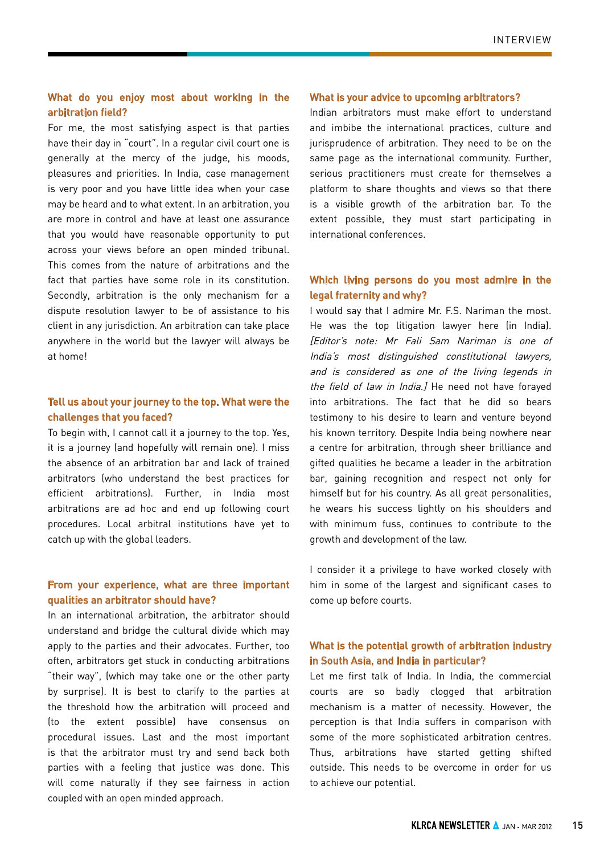### What do you enjoy most about working in the arbitration field?

For me, the most satisfying aspect is that parties have their day in "court". In a regular civil court one is generally at the mercy of the judge, his moods, pleasures and priorities. In India, case management is very poor and you have little idea when your case may be heard and to what extent. In an arbitration, you are more in control and have at least one assurance that you would have reasonable opportunity to put across your views before an open minded tribunal. This comes from the nature of arbitrations and the fact that parties have some role in its constitution. Secondly, arbitration is the only mechanism for a dispute resolution lawyer to be of assistance to his client in any jurisdiction. An arbitration can take place anywhere in the world but the lawyer will always be at home!

#### Tell us about your journey to the top. What were the challenges that you faced?

To begin with, I cannot call it a journey to the top. Yes, it is a journey (and hopefully will remain one). I miss the absence of an arbitration bar and lack of trained arbitrators (who understand the best practices for efficient arbitrations). Further, in India most arbitrations are ad hoc and end up following court procedures. Local arbitral institutions have yet to catch up with the global leaders.

#### From your experience, what are three important qualities an arbitrator should have?

In an international arbitration, the arbitrator should understand and bridge the cultural divide which may apply to the parties and their advocates. Further, too often, arbitrators get stuck in conducting arbitrations "their way", (which may take one or the other party by surprise). It is best to clarify to the parties at the threshold how the arbitration will proceed and (to the extent possible) have consensus on procedural issues. Last and the most important is that the arbitrator must try and send back both parties with a feeling that justice was done. This will come naturally if they see fairness in action coupled with an open minded approach.

#### What is your advice to upcoming arbitrators?

Indian arbitrators must make effort to understand and imbibe the international practices, culture and jurisprudence of arbitration. They need to be on the same page as the international community. Further, serious practitioners must create for themselves a platform to share thoughts and views so that there is a visible growth of the arbitration bar. To the extent possible, they must start participating in international conferences.

#### Which living persons do you most admire in the legal fraternity and why?

I would say that I admire Mr. F.S. Nariman the most. He was the top litigation lawyer here (in India). [Editor's note: Mr Fali Sam Nariman is one of India's most distinguished constitutional lawyers, and is considered as one of the living legends in the field of law in India.] He need not have forayed into arbitrations. The fact that he did so bears testimony to his desire to learn and venture beyond his known territory. Despite India being nowhere near a centre for arbitration, through sheer brilliance and gifted qualities he became a leader in the arbitration bar, gaining recognition and respect not only for himself but for his country. As all great personalities, he wears his success lightly on his shoulders and with minimum fuss, continues to contribute to the growth and development of the law.

I consider it a privilege to have worked closely with him in some of the largest and significant cases to come up before courts.

#### What is the potential growth of arbitration industry in South Asia, and India in particular?

Let me first talk of India. In India, the commercial courts are so badly clogged that arbitration mechanism is a matter of necessity. However, the perception is that India suffers in comparison with some of the more sophisticated arbitration centres. Thus, arbitrations have started getting shifted outside. This needs to be overcome in order for us to achieve our potential.